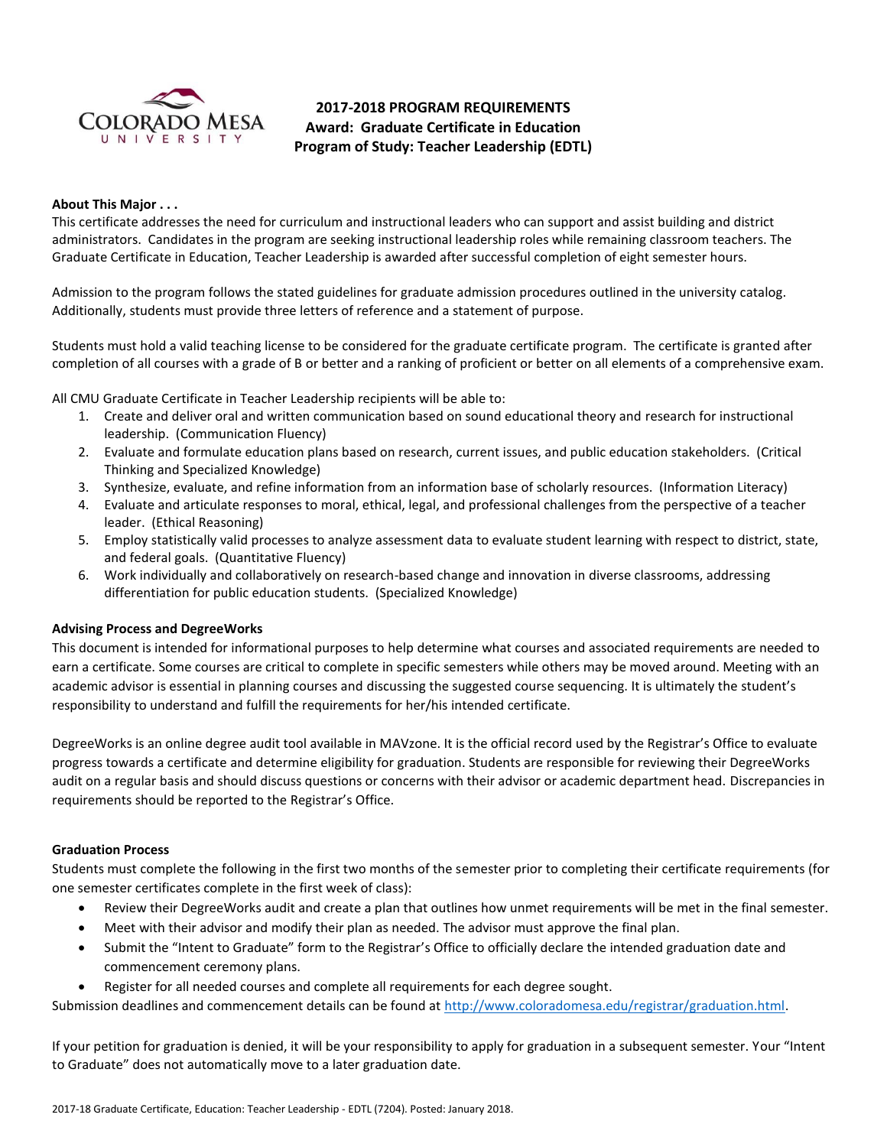

# **2017-2018 PROGRAM REQUIREMENTS Award: Graduate Certificate in Education Program of Study: Teacher Leadership (EDTL)**

## **About This Major . . .**

This certificate addresses the need for curriculum and instructional leaders who can support and assist building and district administrators. Candidates in the program are seeking instructional leadership roles while remaining classroom teachers. The Graduate Certificate in Education, Teacher Leadership is awarded after successful completion of eight semester hours.

Admission to the program follows the stated guidelines for graduate admission procedures outlined in the university catalog. Additionally, students must provide three letters of reference and a statement of purpose.

Students must hold a valid teaching license to be considered for the graduate certificate program. The certificate is granted after completion of all courses with a grade of B or better and a ranking of proficient or better on all elements of a comprehensive exam.

All CMU Graduate Certificate in Teacher Leadership recipients will be able to:

- 1. Create and deliver oral and written communication based on sound educational theory and research for instructional leadership. (Communication Fluency)
- 2. Evaluate and formulate education plans based on research, current issues, and public education stakeholders. (Critical Thinking and Specialized Knowledge)
- 3. Synthesize, evaluate, and refine information from an information base of scholarly resources. (Information Literacy)
- 4. Evaluate and articulate responses to moral, ethical, legal, and professional challenges from the perspective of a teacher leader. (Ethical Reasoning)
- 5. Employ statistically valid processes to analyze assessment data to evaluate student learning with respect to district, state, and federal goals. (Quantitative Fluency)
- 6. Work individually and collaboratively on research-based change and innovation in diverse classrooms, addressing differentiation for public education students. (Specialized Knowledge)

### **Advising Process and DegreeWorks**

This document is intended for informational purposes to help determine what courses and associated requirements are needed to earn a certificate. Some courses are critical to complete in specific semesters while others may be moved around. Meeting with an academic advisor is essential in planning courses and discussing the suggested course sequencing. It is ultimately the student's responsibility to understand and fulfill the requirements for her/his intended certificate.

DegreeWorks is an online degree audit tool available in MAVzone. It is the official record used by the Registrar's Office to evaluate progress towards a certificate and determine eligibility for graduation. Students are responsible for reviewing their DegreeWorks audit on a regular basis and should discuss questions or concerns with their advisor or academic department head. Discrepancies in requirements should be reported to the Registrar's Office.

### **Graduation Process**

Students must complete the following in the first two months of the semester prior to completing their certificate requirements (for one semester certificates complete in the first week of class):

- Review their DegreeWorks audit and create a plan that outlines how unmet requirements will be met in the final semester.
- Meet with their advisor and modify their plan as needed. The advisor must approve the final plan.
- Submit the "Intent to Graduate" form to the Registrar's Office to officially declare the intended graduation date and commencement ceremony plans.
- Register for all needed courses and complete all requirements for each degree sought.

Submission deadlines and commencement details can be found at [http://www.coloradomesa.edu/registrar/graduation.html.](http://www.coloradomesa.edu/registrar/graduation.html)

If your petition for graduation is denied, it will be your responsibility to apply for graduation in a subsequent semester. Your "Intent to Graduate" does not automatically move to a later graduation date.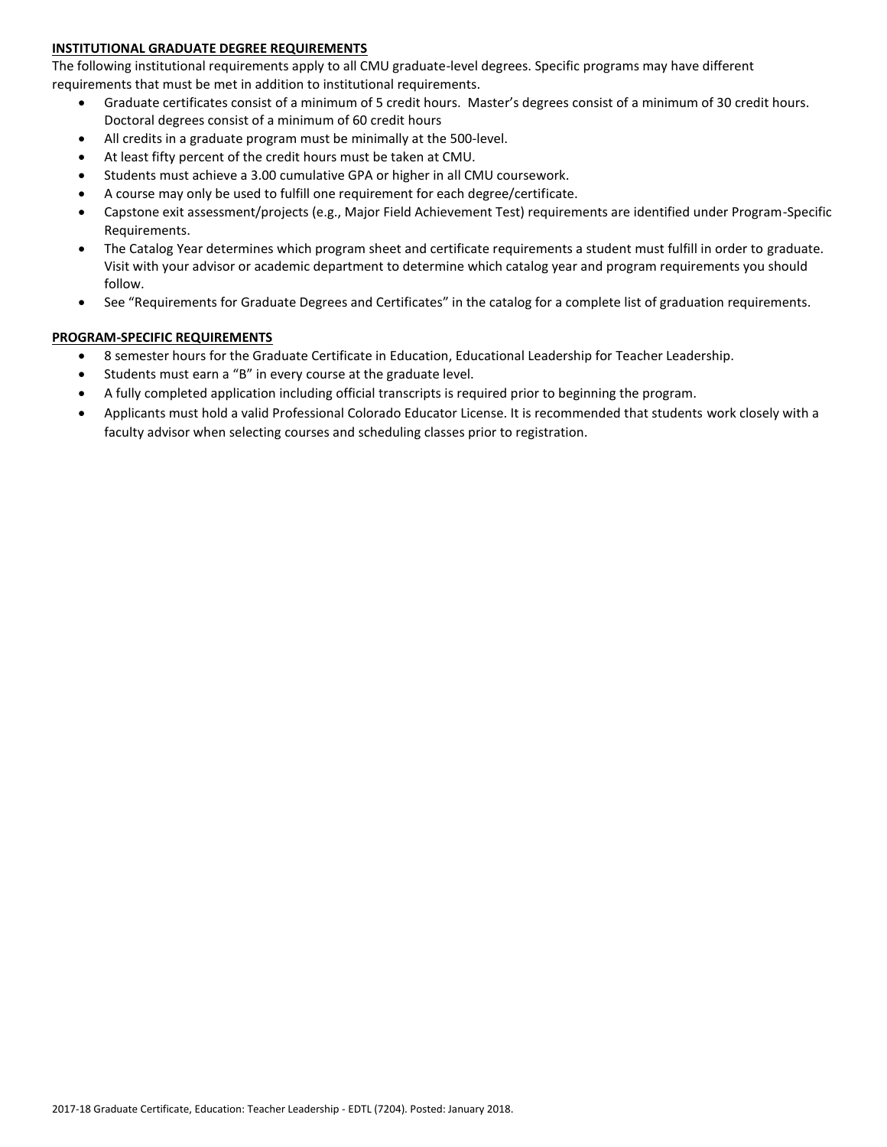# **INSTITUTIONAL GRADUATE DEGREE REQUIREMENTS**

The following institutional requirements apply to all CMU graduate-level degrees. Specific programs may have different requirements that must be met in addition to institutional requirements.

- Graduate certificates consist of a minimum of 5 credit hours. Master's degrees consist of a minimum of 30 credit hours. Doctoral degrees consist of a minimum of 60 credit hours
- All credits in a graduate program must be minimally at the 500-level.
- At least fifty percent of the credit hours must be taken at CMU.
- Students must achieve a 3.00 cumulative GPA or higher in all CMU coursework.
- A course may only be used to fulfill one requirement for each degree/certificate.
- Capstone exit assessment/projects (e.g., Major Field Achievement Test) requirements are identified under Program-Specific Requirements.
- The Catalog Year determines which program sheet and certificate requirements a student must fulfill in order to graduate. Visit with your advisor or academic department to determine which catalog year and program requirements you should follow.
- See "Requirements for Graduate Degrees and Certificates" in the catalog for a complete list of graduation requirements.

# **PROGRAM-SPECIFIC REQUIREMENTS**

- 8 semester hours for the Graduate Certificate in Education, Educational Leadership for Teacher Leadership.
- Students must earn a "B" in every course at the graduate level.
- A fully completed application including official transcripts is required prior to beginning the program.
- Applicants must hold a valid Professional Colorado Educator License. It is recommended that students work closely with a faculty advisor when selecting courses and scheduling classes prior to registration.